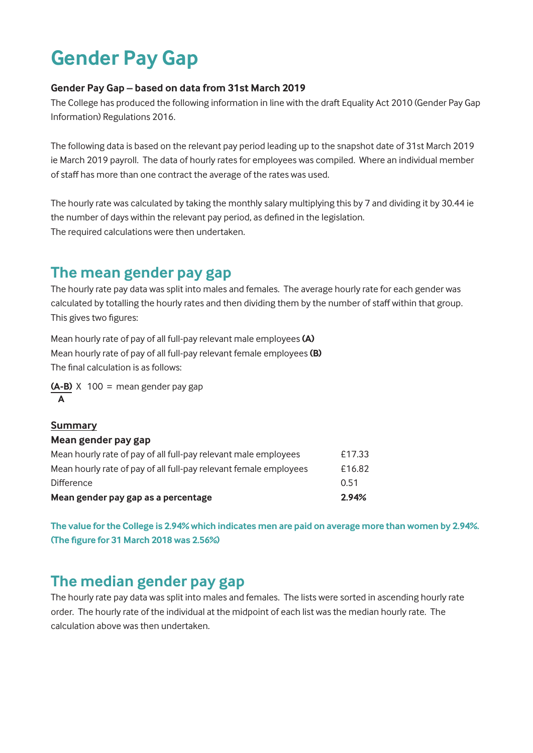# **Gender Pay Gap**

#### **Gender Pay Gap – based on data from 31st March 2019**

The College has produced the following information in line with the draft Equality Act 2010 (Gender Pay Gap Information) Regulations 2016.

The following data is based on the relevant pay period leading up to the snapshot date of 31st March 2019 ie March 2019 payroll. The data of hourly rates for employees was compiled. Where an individual member of staff has more than one contract the average of the rates was used.

The hourly rate was calculated by taking the monthly salary multiplying this by 7 and dividing it by 30.44 ie the number of days within the relevant pay period, as defined in the legislation. The required calculations were then undertaken.

### **The mean gender pay gap**

The hourly rate pay data was split into males and females. The average hourly rate for each gender was calculated by totalling the hourly rates and then dividing them by the number of staff within that group. This gives two figures:

Mean hourly rate of pay of all full-pay relevant male employees **(A)** Mean hourly rate of pay of all full-pay relevant female employees **(B)** The final calculation is as follows:

**(A-B)** X 100 = mean gender pay gap **A**

#### **Summary Mean gender pay gap** Mean hourly rate of pay of all full-pay relevant male employees **E17.33** Mean hourly rate of pay of all full-pay relevant female employees E16.82 Difference 0.51 **Mean gender pay gap as a percentage 2.94%**

**The value for the College is 2.94% which indicates men are paid on average more than women by 2.94%. (The figure for 31 March 2018 was 2.56%)**

## **The median gender pay gap**

The hourly rate pay data was split into males and females. The lists were sorted in ascending hourly rate order. The hourly rate of the individual at the midpoint of each list was the median hourly rate. The calculation above was then undertaken.